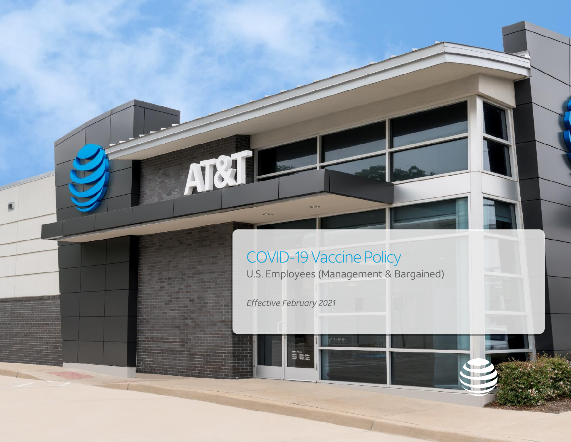# COVID-19 Vaccine Policy U.S. Employees (Management & Bargained)

*Effective February 2021*

**Modi Silling**<br>**Modi Silling**<br>Teley Silling

A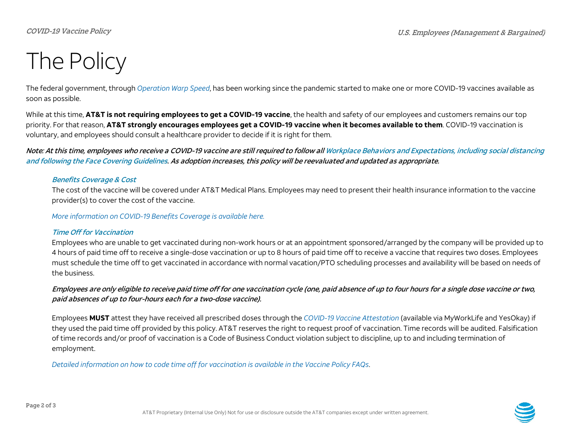# The Policy

The federal government, through *[Operation Warp Speed](https://www.hhs.gov/coronavirus/explaining-operation-warp-speed/index.html)*, has been working since the pandemic started to make one or more COVID-19 vaccines available as soon as possible.

While at this time, **AT&T is not requiring employees to get a COVID-19 vaccine**, the health and safety of our employees and customers remains our top priority. For that reason, **AT&T strongly encourages employees get a COVID-19 vaccine when it becomes available to them**. COVID-19 vaccination is voluntary, and employees should consult a healthcare provider to decide if it is right for them.

Note: At this time, employees who receive a COVID-19 vaccine are still required to follow al[l Workplace Behaviors and Expectations, including social distancing](https://hronestop.web.att.com/documents/33859/35375/Workplace+Behavior+%26+Face+Covering+Guidelines.pdf/ef18b3cb-cf45-271d-b409-d8163fb34932)  [and following the Face Covering Guidelines.](https://hronestop.web.att.com/documents/33859/35375/Workplace+Behavior+%26+Face+Covering+Guidelines.pdf/ef18b3cb-cf45-271d-b409-d8163fb34932) As adoption increases, this policy will be reevaluated and updated as appropriate.

### Benefits Coverage & Cost

The cost of the vaccine will be covered under AT&T Medical Plans. Employees may need to present their health insurance information to the vaccine provider(s) to cover the cost of the vaccine.

*[More information on COVID-19 Benefits Coverage](https://directpath.dcatalog.com/v/202012---SMM---Updates-to-HW-Programs-due-to-COVID-19-Pandemic---78-54467/) is available here.* 

# Time Off for Vaccination

Employees who are unable to get vaccinated during non-work hours or at an appointment sponsored/arranged by the company will be provided up to 4 hours of paid time off to receive a single-dose vaccination or up to 8 hours of paid time off to receive a vaccine that requires two doses. Employees must schedule the time off to get vaccinated in accordance with normal vacation/PTO scheduling processes and availability will be based on needs of the business.

# Employees are only eligible to receive paid time off for one vaccination cycle (one, paid absence of up to four hours for a single dose vaccine or two, paid absences of up to four-hours each for a two-dose vaccine).

Employees **MUST** attest they have received all prescribed doses through the *[COVID-19 Vaccine Attestation](https://www.att.com/covid19vaccine)* (available via MyWorkLife and YesOkay) if they used the paid time off provided by this policy. AT&T reserves the right to request proof of vaccination. Time records will be audited. Falsification of time records and/or proof of vaccination is a Code of Business Conduct violation subject to discipline, up to and including termination of employment.

*[Detailed information on how to code time off for vaccination is available in the Vaccine Policy FAQs](https://hronestop.web.att.com/documents/33859/14758d7d-170a-115e-c3ee-b175cf84dc11)*.